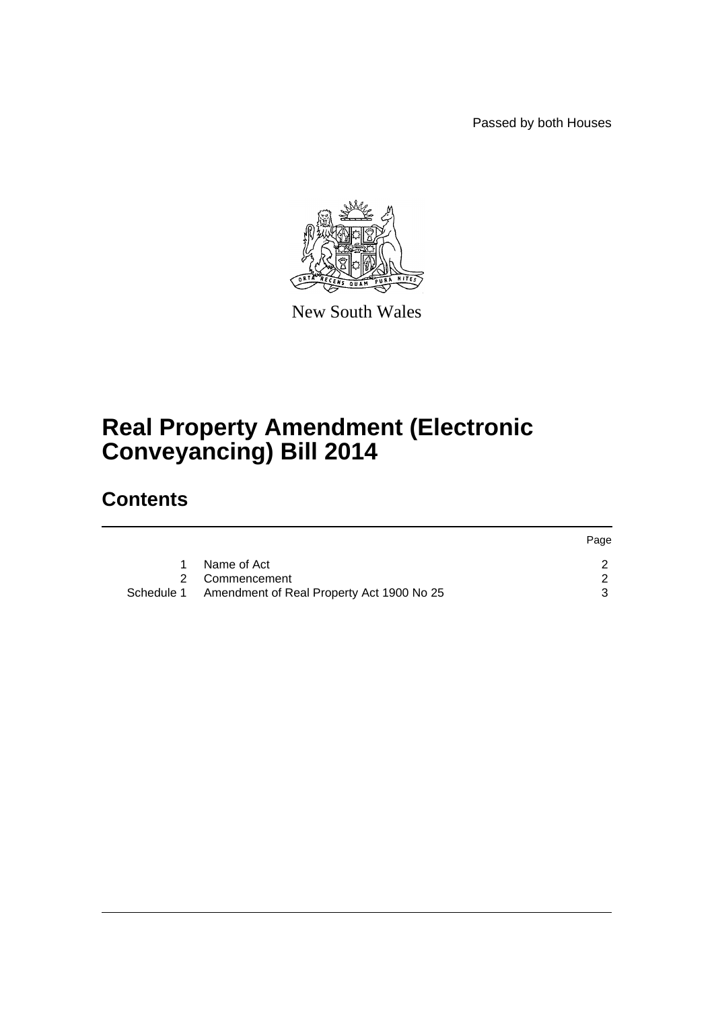Passed by both Houses

Page



New South Wales

# **Real Property Amendment (Electronic Conveyancing) Bill 2014**

## **Contents**

|            |                                           | <b>Page</b> |
|------------|-------------------------------------------|-------------|
|            | Name of Act                               |             |
|            | 2 Commencement                            |             |
| Schedule 1 | Amendment of Real Property Act 1900 No 25 |             |
|            |                                           |             |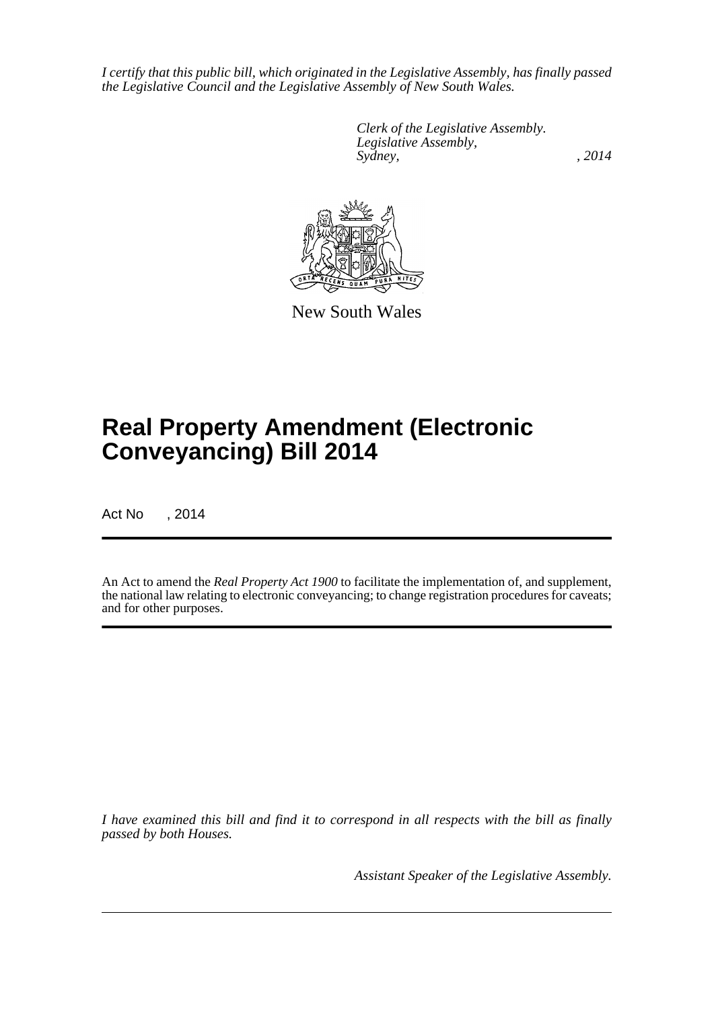*I certify that this public bill, which originated in the Legislative Assembly, has finally passed the Legislative Council and the Legislative Assembly of New South Wales.*

> *Clerk of the Legislative Assembly. Legislative Assembly, Sydney,* , 2014



New South Wales

# **Real Property Amendment (Electronic Conveyancing) Bill 2014**

Act No , 2014

An Act to amend the *Real Property Act 1900* to facilitate the implementation of, and supplement, the national law relating to electronic conveyancing; to change registration procedures for caveats; and for other purposes.

*I have examined this bill and find it to correspond in all respects with the bill as finally passed by both Houses.*

*Assistant Speaker of the Legislative Assembly.*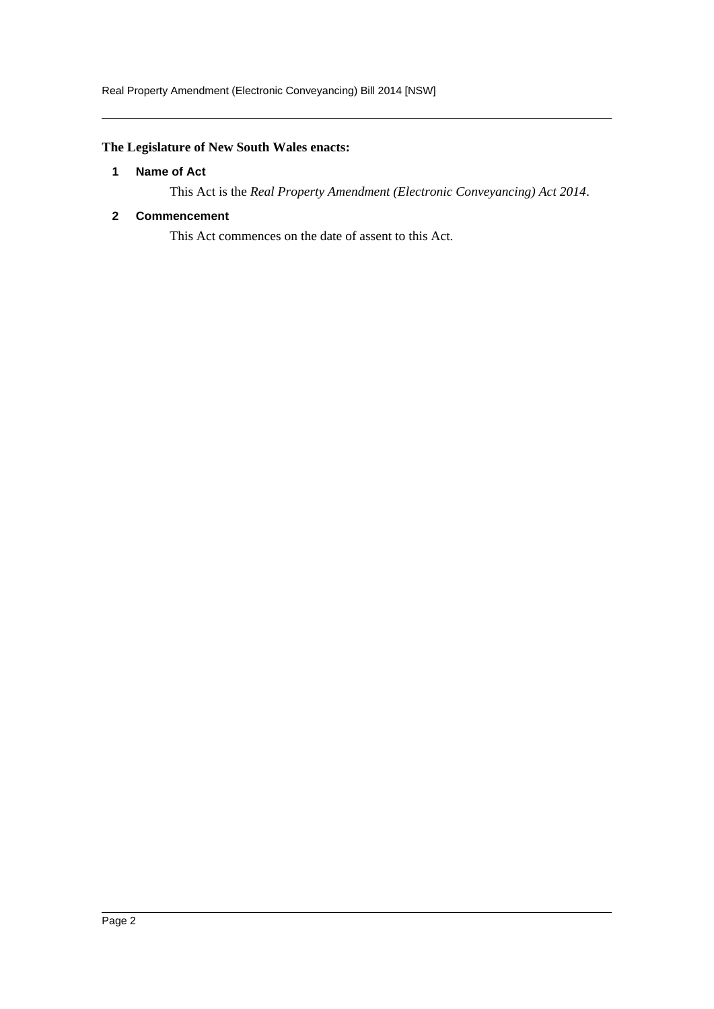### <span id="page-2-0"></span>**The Legislature of New South Wales enacts:**

#### **1 Name of Act**

This Act is the *Real Property Amendment (Electronic Conveyancing) Act 2014*.

#### <span id="page-2-1"></span>**2 Commencement**

This Act commences on the date of assent to this Act.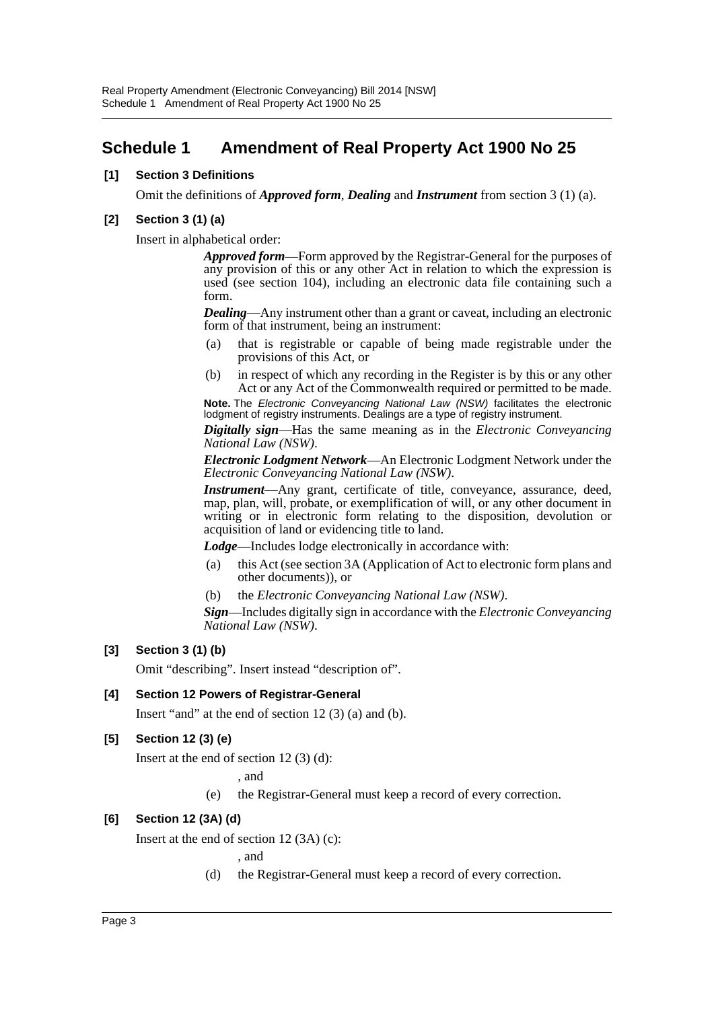### <span id="page-3-0"></span>**Schedule 1 Amendment of Real Property Act 1900 No 25**

#### **[1] Section 3 Definitions**

Omit the definitions of *Approved form*, *Dealing* and *Instrument* from section 3 (1) (a).

#### **[2] Section 3 (1) (a)**

Insert in alphabetical order:

*Approved form*—Form approved by the Registrar-General for the purposes of any provision of this or any other Act in relation to which the expression is used (see section 104), including an electronic data file containing such a form.

*Dealing*—Any instrument other than a grant or caveat, including an electronic form of that instrument, being an instrument:

- (a) that is registrable or capable of being made registrable under the provisions of this Act, or
- (b) in respect of which any recording in the Register is by this or any other Act or any Act of the Commonwealth required or permitted to be made.

**Note.** The *Electronic Conveyancing National Law (NSW)* facilitates the electronic lodgment of registry instruments. Dealings are a type of registry instrument. *Digitally sign*—Has the same meaning as in the *Electronic Conveyancing*

*National Law (NSW)*. *Electronic Lodgment Network*—An Electronic Lodgment Network under the *Electronic Conveyancing National Law (NSW)*.

*Instrument*—Any grant, certificate of title, conveyance, assurance, deed, map, plan, will, probate, or exemplification of will, or any other document in writing or in electronic form relating to the disposition, devolution or acquisition of land or evidencing title to land.

*Lodge*—Includes lodge electronically in accordance with:

- (a) this Act (see section 3A (Application of Act to electronic form plans and other documents)), or
- (b) the *Electronic Conveyancing National Law (NSW)*.

*Sign*—Includes digitally sign in accordance with the *Electronic Conveyancing National Law (NSW)*.

#### **[3] Section 3 (1) (b)**

Omit "describing". Insert instead "description of".

#### **[4] Section 12 Powers of Registrar-General**

Insert "and" at the end of section 12 (3) (a) and (b).

#### **[5] Section 12 (3) (e)**

Insert at the end of section 12 (3) (d):

, and

(e) the Registrar-General must keep a record of every correction.

#### **[6] Section 12 (3A) (d)**

Insert at the end of section 12 (3A) (c):

, and

(d) the Registrar-General must keep a record of every correction.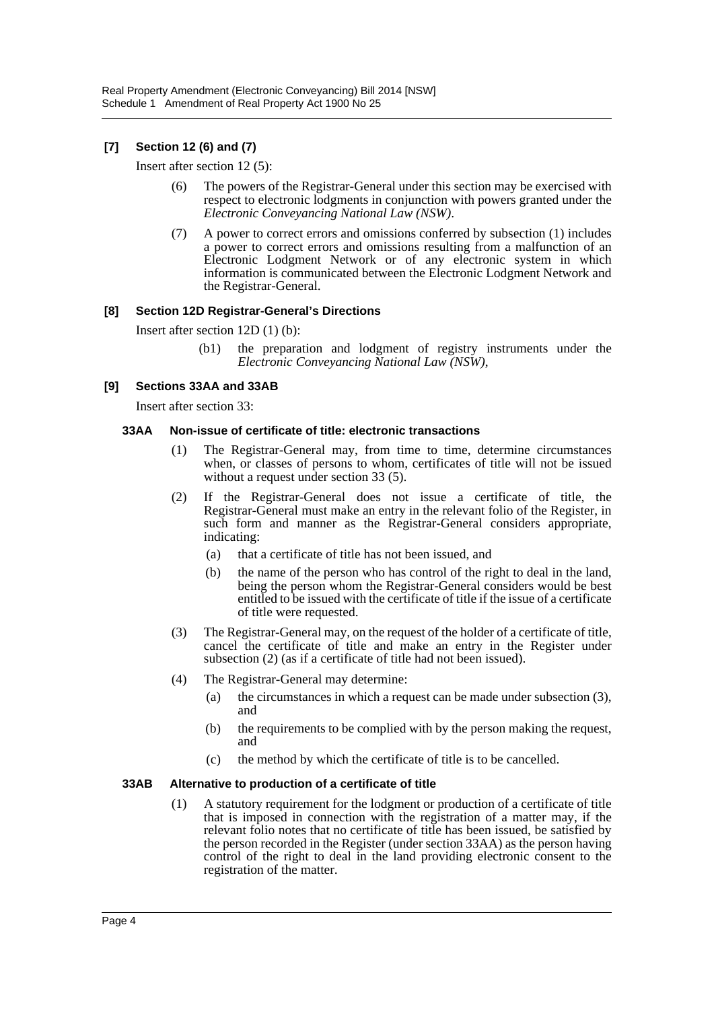#### **[7] Section 12 (6) and (7)**

Insert after section 12 (5):

- (6) The powers of the Registrar-General under this section may be exercised with respect to electronic lodgments in conjunction with powers granted under the *Electronic Conveyancing National Law (NSW)*.
- (7) A power to correct errors and omissions conferred by subsection (1) includes a power to correct errors and omissions resulting from a malfunction of an Electronic Lodgment Network or of any electronic system in which information is communicated between the Electronic Lodgment Network and the Registrar-General.

#### **[8] Section 12D Registrar-General's Directions**

Insert after section 12D (1) (b):

(b1) the preparation and lodgment of registry instruments under the *Electronic Conveyancing National Law (NSW)*,

#### **[9] Sections 33AA and 33AB**

Insert after section 33:

#### **33AA Non-issue of certificate of title: electronic transactions**

- (1) The Registrar-General may, from time to time, determine circumstances when, or classes of persons to whom, certificates of title will not be issued without a request under section 33 (5).
- (2) If the Registrar-General does not issue a certificate of title, the Registrar-General must make an entry in the relevant folio of the Register, in such form and manner as the Registrar-General considers appropriate, indicating:
	- (a) that a certificate of title has not been issued, and
	- (b) the name of the person who has control of the right to deal in the land, being the person whom the Registrar-General considers would be best entitled to be issued with the certificate of title if the issue of a certificate of title were requested.
- (3) The Registrar-General may, on the request of the holder of a certificate of title, cancel the certificate of title and make an entry in the Register under subsection (2) (as if a certificate of title had not been issued).
- (4) The Registrar-General may determine:
	- (a) the circumstances in which a request can be made under subsection (3), and
	- (b) the requirements to be complied with by the person making the request, and
	- (c) the method by which the certificate of title is to be cancelled.

#### **33AB Alternative to production of a certificate of title**

(1) A statutory requirement for the lodgment or production of a certificate of title that is imposed in connection with the registration of a matter may, if the relevant folio notes that no certificate of title has been issued, be satisfied by the person recorded in the Register (under section 33AA) as the person having control of the right to deal in the land providing electronic consent to the registration of the matter.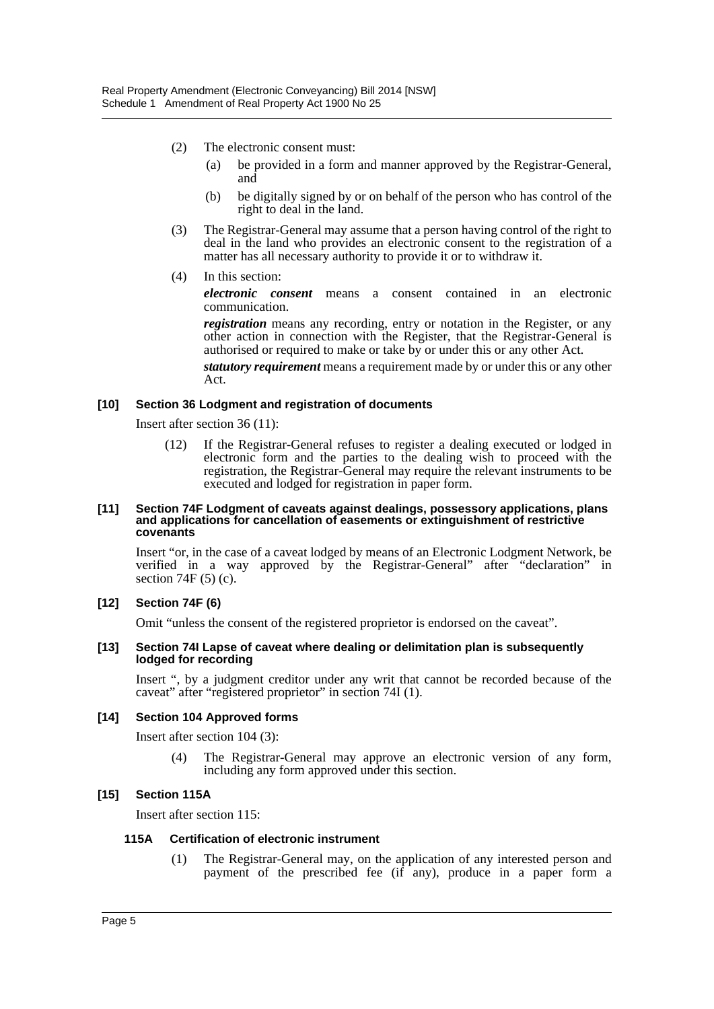- (2) The electronic consent must:
	- (a) be provided in a form and manner approved by the Registrar-General, and
	- (b) be digitally signed by or on behalf of the person who has control of the right to deal in the land.
- (3) The Registrar-General may assume that a person having control of the right to deal in the land who provides an electronic consent to the registration of a matter has all necessary authority to provide it or to withdraw it.
- (4) In this section:

*electronic consent* means a consent contained in an electronic communication.

*registration* means any recording, entry or notation in the Register, or any other action in connection with the Register, that the Registrar-General is authorised or required to make or take by or under this or any other Act.

*statutory requirement* means a requirement made by or under this or any other Act.

#### **[10] Section 36 Lodgment and registration of documents**

Insert after section 36 (11):

(12) If the Registrar-General refuses to register a dealing executed or lodged in electronic form and the parties to the dealing wish to proceed with the registration, the Registrar-General may require the relevant instruments to be executed and lodged for registration in paper form.

#### **[11] Section 74F Lodgment of caveats against dealings, possessory applications, plans and applications for cancellation of easements or extinguishment of restrictive covenants**

Insert "or, in the case of a caveat lodged by means of an Electronic Lodgment Network, be verified in a way approved by the Registrar-General" after "declaration" in section  $74F(5)$  (c).

#### **[12] Section 74F (6)**

Omit "unless the consent of the registered proprietor is endorsed on the caveat".

#### **[13] Section 74I Lapse of caveat where dealing or delimitation plan is subsequently lodged for recording**

Insert ", by a judgment creditor under any writ that cannot be recorded because of the caveat" after "registered proprietor" in section 74I (1).

#### **[14] Section 104 Approved forms**

Insert after section 104 (3):

(4) The Registrar-General may approve an electronic version of any form, including any form approved under this section.

#### **[15] Section 115A**

Insert after section 115:

#### **115A Certification of electronic instrument**

(1) The Registrar-General may, on the application of any interested person and payment of the prescribed fee (if any), produce in a paper form a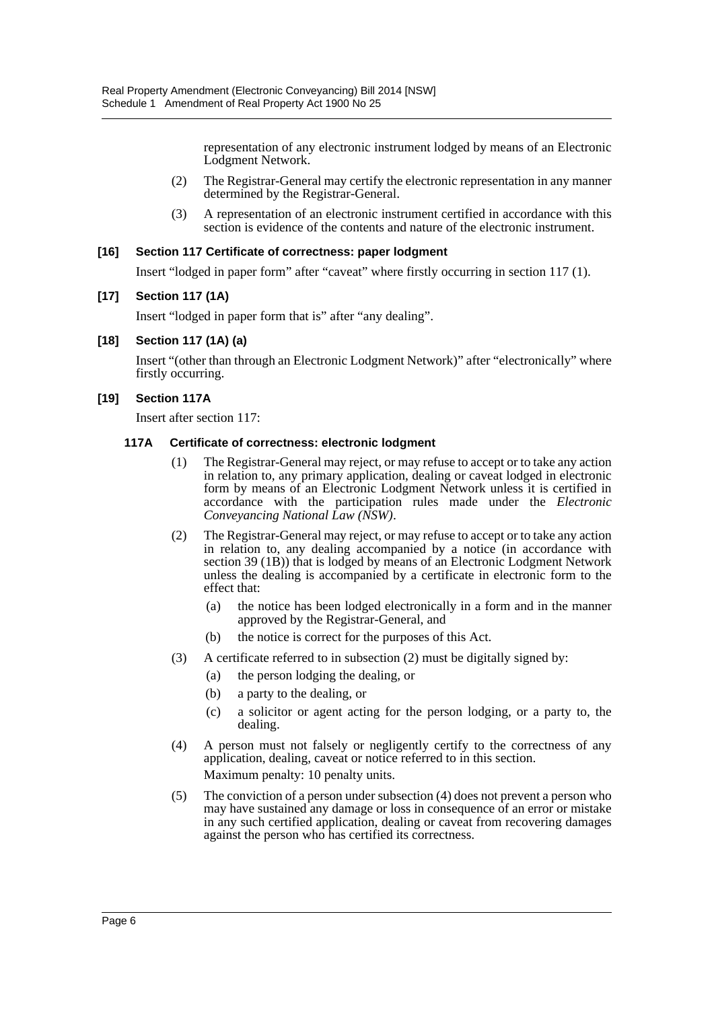representation of any electronic instrument lodged by means of an Electronic Lodgment Network.

- (2) The Registrar-General may certify the electronic representation in any manner determined by the Registrar-General.
- (3) A representation of an electronic instrument certified in accordance with this section is evidence of the contents and nature of the electronic instrument.

#### **[16] Section 117 Certificate of correctness: paper lodgment**

Insert "lodged in paper form" after "caveat" where firstly occurring in section 117 (1).

#### **[17] Section 117 (1A)**

Insert "lodged in paper form that is" after "any dealing".

#### **[18] Section 117 (1A) (a)**

Insert "(other than through an Electronic Lodgment Network)" after "electronically" where firstly occurring.

#### **[19] Section 117A**

Insert after section 117:

#### **117A Certificate of correctness: electronic lodgment**

- (1) The Registrar-General may reject, or may refuse to accept or to take any action in relation to, any primary application, dealing or caveat lodged in electronic form by means of an Electronic Lodgment Network unless it is certified in accordance with the participation rules made under the *Electronic Conveyancing National Law (NSW)*.
- (2) The Registrar-General may reject, or may refuse to accept or to take any action in relation to, any dealing accompanied by a notice (in accordance with section 39 (1B)) that is lodged by means of an Electronic Lodgment Network unless the dealing is accompanied by a certificate in electronic form to the effect that:
	- (a) the notice has been lodged electronically in a form and in the manner approved by the Registrar-General, and
	- (b) the notice is correct for the purposes of this Act.
- (3) A certificate referred to in subsection (2) must be digitally signed by:
	- (a) the person lodging the dealing, or
	- (b) a party to the dealing, or
	- (c) a solicitor or agent acting for the person lodging, or a party to, the dealing.
- (4) A person must not falsely or negligently certify to the correctness of any application, dealing, caveat or notice referred to in this section. Maximum penalty: 10 penalty units.
- (5) The conviction of a person under subsection (4) does not prevent a person who may have sustained any damage or loss in consequence of an error or mistake in any such certified application, dealing or caveat from recovering damages against the person who has certified its correctness.